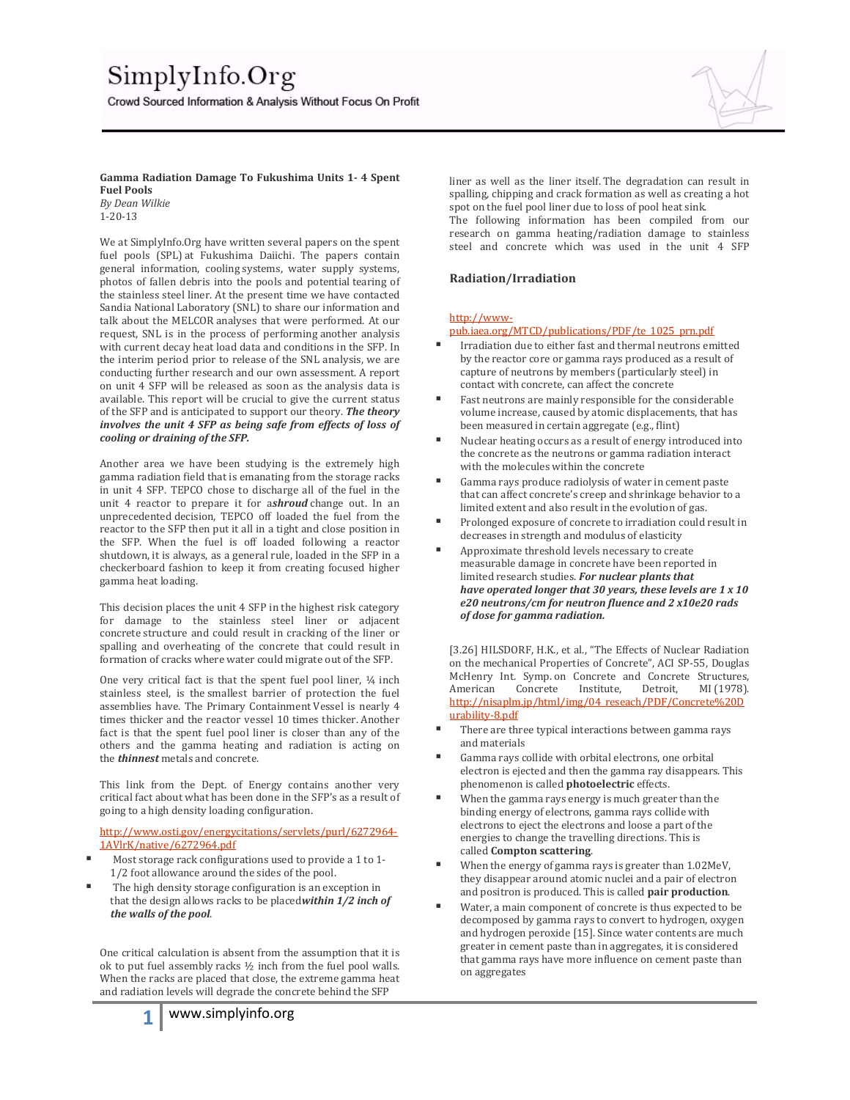# SimplyInfo.Org

Crowd Sourced Information & Analysis Without Focus On Profit



### **Gamma Radiation Damage To Fukushima Units 1- 4 Spent Fuel Pools**

*By Dean Wilkie* 1-20-13

We at SimplyInfo.Org have written several papers on the spent fuel pools (SPL) at Fukushima Daiichi. The papers contain general information, cooling systems, water supply systems, photos of fallen debris into the pools and potential tearing of the stainless steel liner. At the present time we have contacted Sandia National Laboratory (SNL) to share our information and talk about the MELCOR analyses that were performed. At our request, SNL is in the process of performing another analysis with current decay heat load data and conditions in the SFP. In the interim period prior to release of the SNL analysis, we are conducting further research and our own assessment. A report on unit 4 SFP will be released as soon as the analysis data is available. This report will be crucial to give the current status of the SFP and is anticipated to support our theory. *The theory involves the unit 4 SFP as being safe from effects of loss of cooling or draining of the SFP.*

Another area we have been studying is the extremely high gamma radiation field that is emanating from the storage racks in unit 4 SFP. TEPCO chose to discharge all of the fuel in the unit 4 reactor to prepare it for a*shroud* change out. In an unprecedented decision, TEPCO off loaded the fuel from the reactor to the SFP then put it all in a tight and close position in the SFP. When the fuel is off loaded following a reactor shutdown, it is always, as a general rule, loaded in the SFP in a checkerboard fashion to keep it from creating focused higher gamma heat loading.

This decision places the unit 4 SFP in the highest risk category for damage to the stainless steel liner or adjacent concrete structure and could result in cracking of the liner or spalling and overheating of the concrete that could result in formation of cracks where water could migrate out of the SFP.

One very critical fact is that the spent fuel pool liner, ¼ inch stainless steel, is the smallest barrier of protection the fuel assemblies have. The Primary Containment Vessel is nearly 4 times thicker and the reactor vessel 10 times thicker. Another fact is that the spent fuel pool liner is closer than any of the others and the gamma heating and radiation is acting on the *thinnest* metals and concrete.

This link from the Dept. of Energy contains another very critical fact about what has been done in the SFP's as a result of going to a high density loading configuration.

[http://www.osti.gov/energycitations/servlets/purl/6272964-](http://www.osti.gov/energycitations/servlets/purl/6272964-1AVlrK/native/6272964.pdf) [1AVlrK/native/6272964.pdf](http://www.osti.gov/energycitations/servlets/purl/6272964-1AVlrK/native/6272964.pdf)

- Most storage rack configurations used to provide a 1 to 1- 1/2 foot allowance around the sides of the pool.
- The high density storage configuration is an exception in that the design allows racks to be placed*within 1/2 inch of the walls of the pool*.

One critical calculation is absent from the assumption that it is ok to put fuel assembly racks ½ inch from the fuel pool walls. When the racks are placed that close, the extreme gamma heat and radiation levels will degrade the concrete behind the SFP

liner as well as the liner itself. The degradation can result in spalling, chipping and crack formation as well as creating a hot spot on the fuel pool liner due to loss of pool heat sink. The following information has been compiled from our research on gamma heating/radiation damage to stainless

steel and concrete which was used in the unit 4 SFP

## **Radiation/Irradiation**

#### [http://www-](http://www-pub.iaea.org/MTCD/publications/PDF/te_1025_prn.pdf)

[pub.iaea.org/MTCD/publications/PDF/te\\_1025\\_prn.pdf](http://www-pub.iaea.org/MTCD/publications/PDF/te_1025_prn.pdf) 

- Irradiation due to either fast and thermal neutrons emitted by the reactor core or gamma rays produced as a result of capture of neutrons by members (particularly steel) in contact with concrete, can affect the concrete
- Fast neutrons are mainly responsible for the considerable volume increase, caused by atomic displacements, that has been measured in certain aggregate (e.g., flint)
- Nuclear heating occurs as a result of energy introduced into the concrete as the neutrons or gamma radiation interact with the molecules within the concrete
- Gamma rays produce radiolysis of water in cement paste that can affect concrete's creep and shrinkage behavior to a limited extent and also result in the evolution of gas.
- Prolonged exposure of concrete to irradiation could result in decreases in strength and modulus of elasticity
- Approximate threshold levels necessary to create measurable damage in concrete have been reported in limited research studies. *For nuclear plants that have operated longer that 30 years, these levels are 1 x 10 e20 neutrons/cm for neutron fluence and 2 x10e20 rads of dose for gamma radiation.*

[3.26] HILSDORF, H.K., et al., "The Effects of Nuclear Radiation on the mechanical Properties of Concrete", ACI SP-55, Douglas McHenry Int. Symp.on Concrete and Concrete Structures,<br>American Concrete Institute, Detroit, MI (1978). American Concrete Institute, Detroit, MI (1978). [http://nisaplm.jp/html/img/04\\_reseach/PDF/Concrete%20D](http://nisaplm.jp/html/img/04_reseach/PDF/Concrete%20Durability-8.pdf) [urability-8.pdf](http://nisaplm.jp/html/img/04_reseach/PDF/Concrete%20Durability-8.pdf)

- There are three typical interactions between gamma rays and materials
- Gamma rays collide with orbital electrons, one orbital electron is ejected and then the gamma ray disappears. This phenomenon is called **photoelectric** effects.
- When the gamma rays energy is much greater than the binding energy of electrons, gamma rays collide with electrons to eject the electrons and loose a part of the energies to change the travelling directions. This is called **Compton scattering**.
- When the energy of gamma rays is greater than 1.02MeV, they disappear around atomic nuclei and a pair of electron and positron is produced. This is called **pair production**.
- Water, a main component of concrete is thus expected to be decomposed by gamma rays to convert to hydrogen, oxygen and hydrogen peroxide [15]. Since water contents are much greater in cement paste than in aggregates, it is considered that gamma rays have more influence on cement paste than on aggregates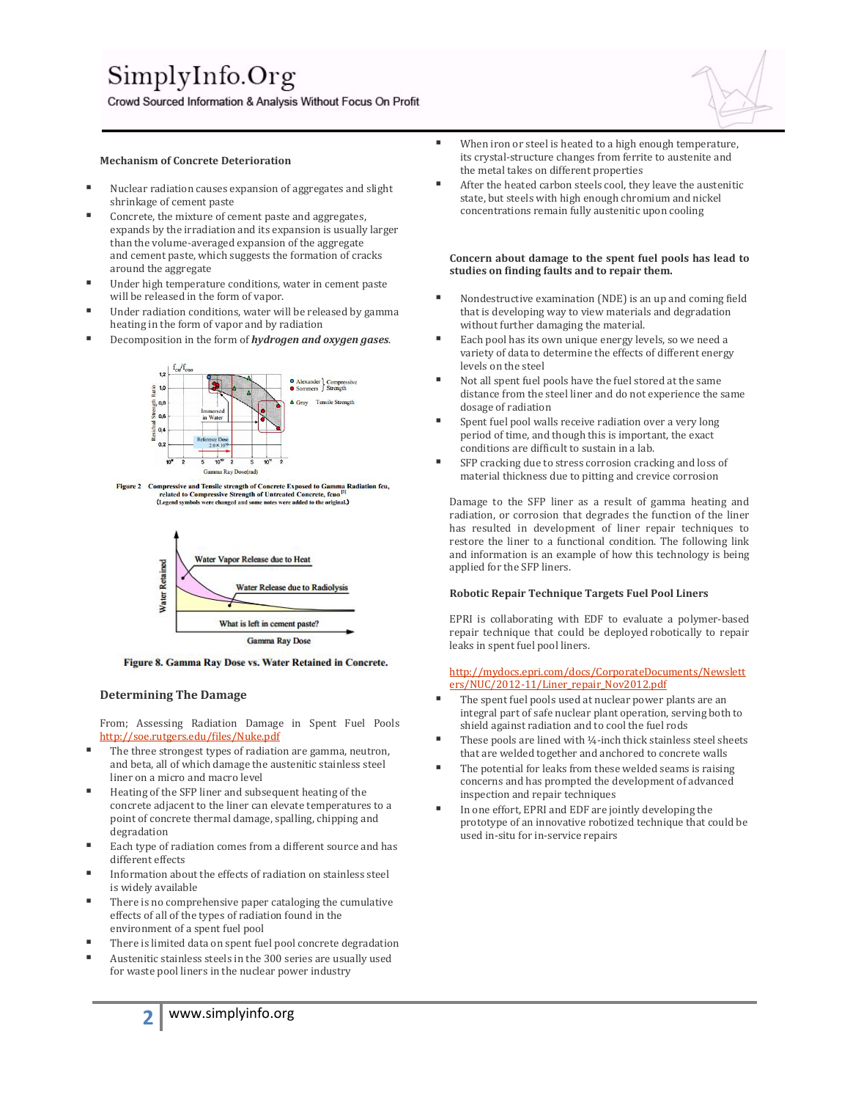# SimplyInfo.Org

Crowd Sourced Information & Analysis Without Focus On Profit



- Nuclear radiation causes expansion of aggregates and slight shrinkage of cement paste
- Concrete, the mixture of cement paste and aggregates, expands by the irradiation and its expansion is usually larger than the volume-averaged expansion of the aggregate and cement paste, which suggests the formation of cracks around the aggregate
- Under high temperature conditions, water in cement paste will be released in the form of vapor.
- Under radiation conditions, water will be released by gamma heating in the form of vapor and by radiation
- Decomposition in the form of *hydrogen and oxygen gases*.



Figure 2 Compressive and Tensile strength of Concrete Exposed to Gamma Radiation fcu,<br>related to Compressive Strength of Untreated Concrete, fcuo<sup>011</sup><br>(Legend symbols were changed and some notes were added to the original



Figure 8. Gamma Ray Dose vs. Water Retained in Concrete.

#### **Determining The Damage**

From; Assessing Radiation Damage in Spent Fuel Pools <http://soe.rutgers.edu/files/Nuke.pdf>

- The three strongest types of radiation are gamma, neutron, and beta, all of which damage the austenitic stainless steel liner on a micro and macro level
- $\blacksquare$  Heating of the SFP liner and subsequent heating of the concrete adjacent to the liner can elevate temperatures to a point of concrete thermal damage, spalling, chipping and degradation
- Each type of radiation comes from a different source and has different effects
- Information about the effects of radiation on stainless steel is widely available
- There is no comprehensive paper cataloging the cumulative effects of all of the types of radiation found in the environment of a spent fuel pool
- There is limited data on spent fuel pool concrete degradation
- Austenitic stainless steels in the 300 series are usually used for waste pool liners in the nuclear power industry
- When iron or steel is heated to a high enough temperature, its crystal-structure changes from ferrite to austenite and the metal takes on different properties
- After the heated carbon steels cool, they leave the austenitic state, but steels with high enough chromium and nickel concentrations remain fully austenitic upon cooling

#### **Concern about damage to the spent fuel pools has lead to studies on finding faults and to repair them.**

- Nondestructive examination (NDE) is an up and coming field that is developing way to view materials and degradation without further damaging the material.
- Each pool has its own unique energy levels, so we need a variety of data to determine the effects of different energy levels on the steel
- Not all spent fuel pools have the fuel stored at the same distance from the steel liner and do not experience the same dosage of radiation
- Spent fuel pool walls receive radiation over a very long period of time, and though this is important, the exact conditions are difficult to sustain in a lab.
- SFP cracking due to stress corrosion cracking and loss of material thickness due to pitting and crevice corrosion

Damage to the SFP liner as a result of gamma heating and radiation, or corrosion that degrades the function of the liner has resulted in development of liner repair techniques to restore the liner to a functional condition. The following link and information is an example of how this technology is being applied for the SFP liners.

#### **Robotic Repair Technique Targets Fuel Pool Liners**

EPRI is collaborating with EDF to evaluate a polymer-based repair technique that could be deployed robotically to repair leaks in spent fuel pool liners.

[http://mydocs.epri.com/docs/CorporateDocuments/Newslett](http://mydocs.epri.com/docs/CorporateDocuments/Newsletters/NUC/2012-11/Liner_repair_Nov2012.pdf) [ers/NUC/2012-11/Liner\\_repair\\_Nov2012.pdf](http://mydocs.epri.com/docs/CorporateDocuments/Newsletters/NUC/2012-11/Liner_repair_Nov2012.pdf)

- The spent fuel pools used at nuclear power plants are an integral part of safe nuclear plant operation, serving both to shield against radiation and to cool the fuel rods
- These pools are lined with ¼-inch thick stainless steel sheets that are welded together and anchored to concrete walls
- The potential for leaks from these welded seams is raising concerns and has prompted the development of advanced inspection and repair techniques
- In one effort, EPRI and EDF are jointly developing the prototype of an innovative robotized technique that could be used in-situ for in-service repairs